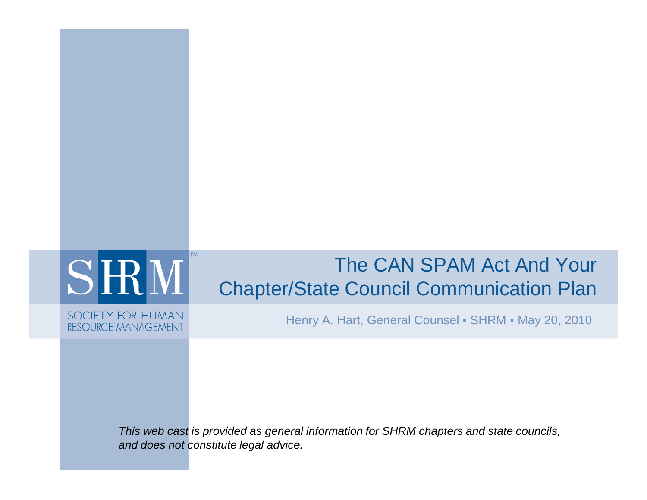# **SHM**

**TM** 

SOCIETY FOR HUMAN **RESOURCE MANAGEMENT** 

#### The CAN SPAM Act And Your Chapter/State Council Communication Plan

Henry A. Hart, General Counsel ▪ SHRM ▪ May 20, 2010

This web cast is provided as general information for SHRM chapters and state councils, and does not constitute legal advice.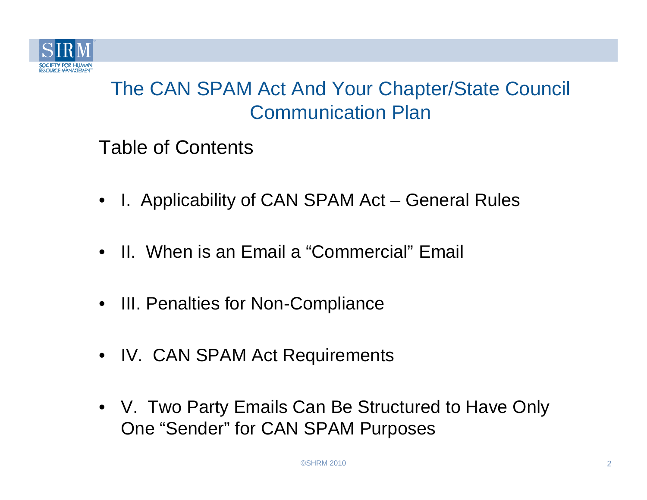

Table of Contents

- •I. Applicability of CAN SPAM Act – General Rules
- II. When is an Email a "Commercial" Email
- III. Penalties for Non-Compliance
- IV. CAN SPAM Act Requirements
- V. Two Party Emails Can Be Structured to Have Only One "Sender" for CAN SPAM Purposes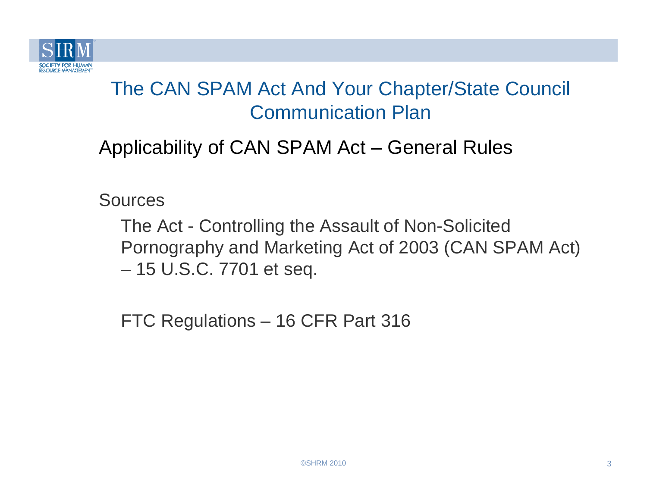

#### Applicability of CAN SPAM Act – General Rules

**Sources** 

The Act - Controlling the Assault of Non-Solicited Pornography and Marketing Act of 2003 (CAN SPAM Act) –15 U.S.C. 7701 et seq.

FTC Regulations – 16 CFR Part 316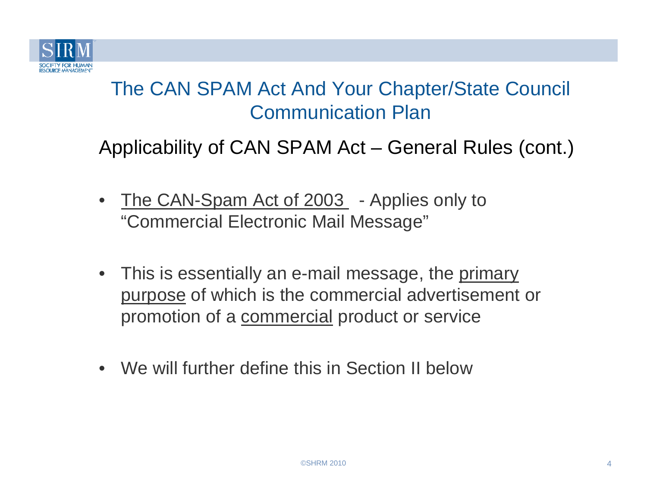

- •The CAN-Spam Act of 2003 - Applies only to "Commercial Electronic Mail Message"
- $\bullet$ This is essentially an e-mail message, the primary purpose of which is the commercial advertisement or promotion of a <u>commercial</u> product or service
- We will further define this in Section II below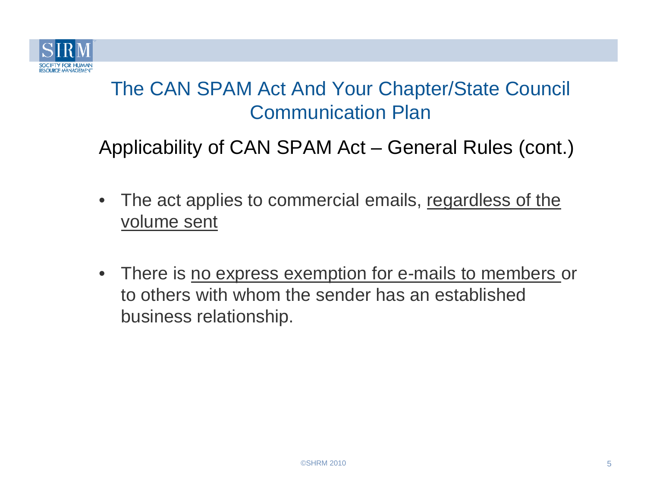

- $\bullet$ The act applies to commercial emails, regardless of the volume sent
- There is no express exemption for e-mails to members or to others with whom the sender has an established business relationship.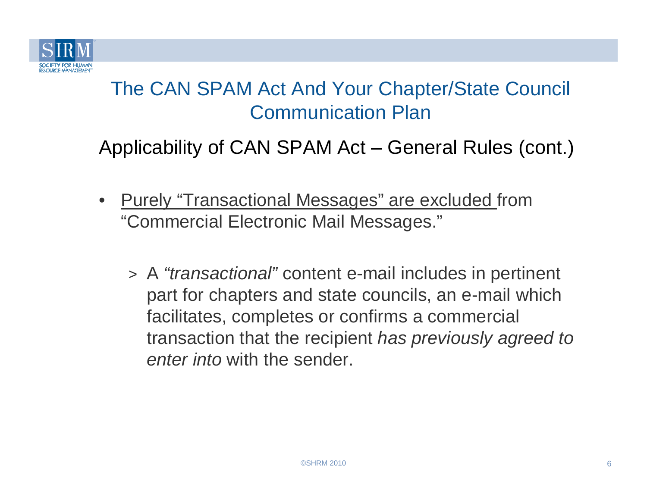

- • Purely "Transactional Messages" are excluded from "Commercial Electronic Mail Messages."
	- > <sup>A</sup>"transactional" content e-mail includes in pertinent part for chapters and state councils, an e-mail which facilitates, completes or confirms a commercial transaction that the recipient has previously agreed to enter into with the sender.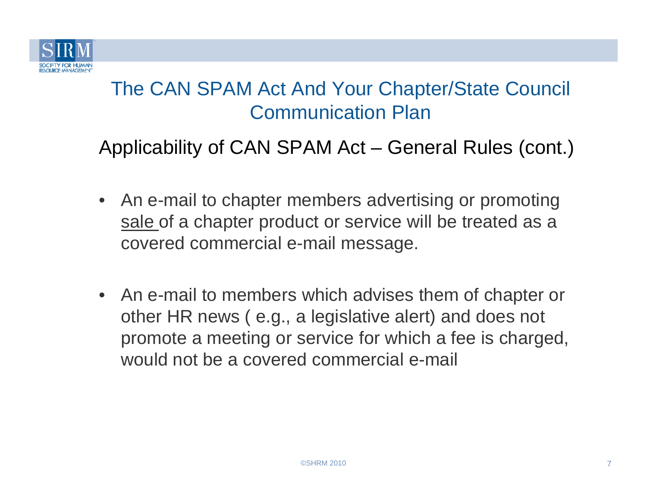

- An e-mail to chapter members advertising or promoting sale of a chapter product or service will be treated as a covered commercial e-mail message.
- An e-mail to members which advises them of chapter or other HR news ( e.g., a legislative alert) and does not promote a meeting or service for which a fee is charged, would not be a covered commercial e-mail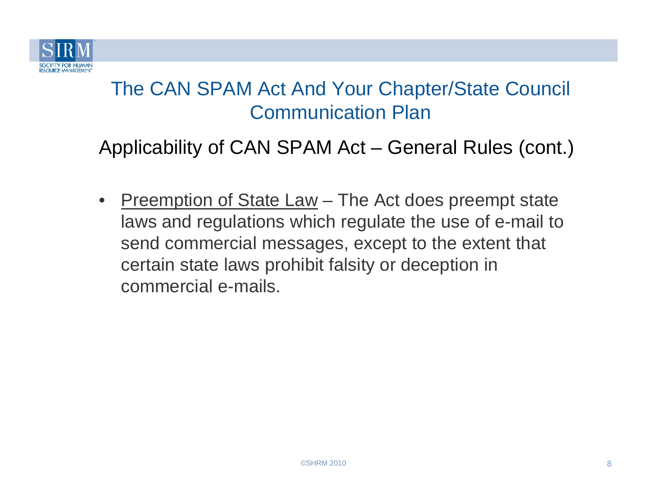

Applicability of CAN SPAM Act – General Rules (cont.)

 $\bullet$ Preemption of State Law – The Act does preempt state laws and regulations which regulate the use of e-mail to send commercial messages, except to the extent thatcertain state laws prohibit falsity or deception incommercial e-mails.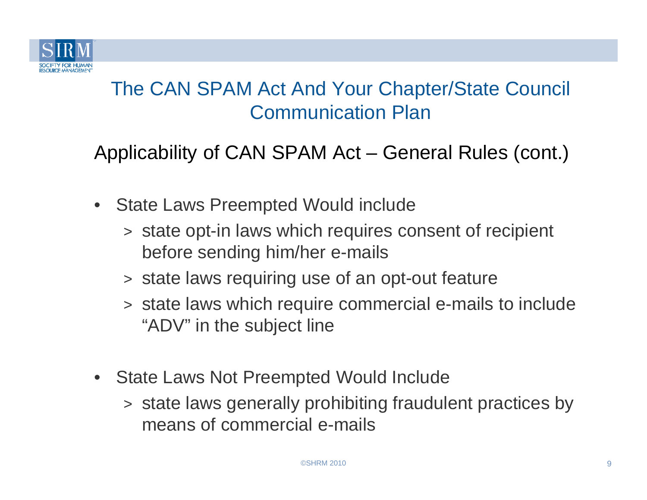

- $\bullet$  State Laws Preempted Would include
	- > state opt-in laws which requires consent of recipient before sending him/her e-mails
	- > state laws requiring use of an opt-out feature
	- > state laws which require commercial e-mails to include "ADV" in the subject line
- State Laws Not Preempted Would Include
	- > state laws generally prohibiting fraudulent practices by means of commercial e-mails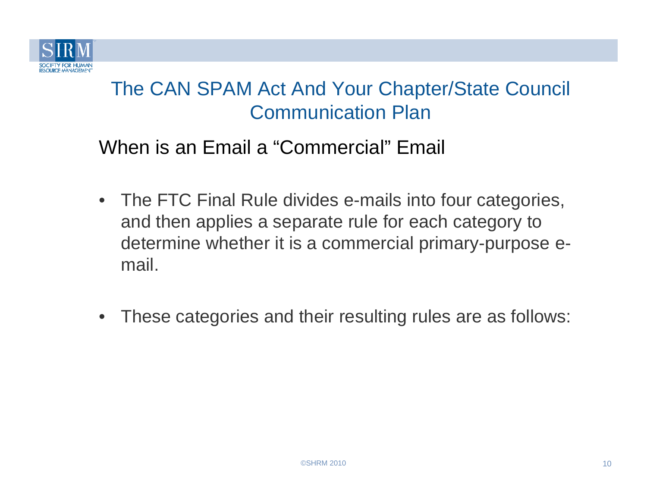

- The FTC Final Rule divides e-mails into four categories, and then applies a separate rule for each category to determine whether it is a commercial primary-purpose e-
- mail.  $\bullet$ These categories and their resulting rules are as follows: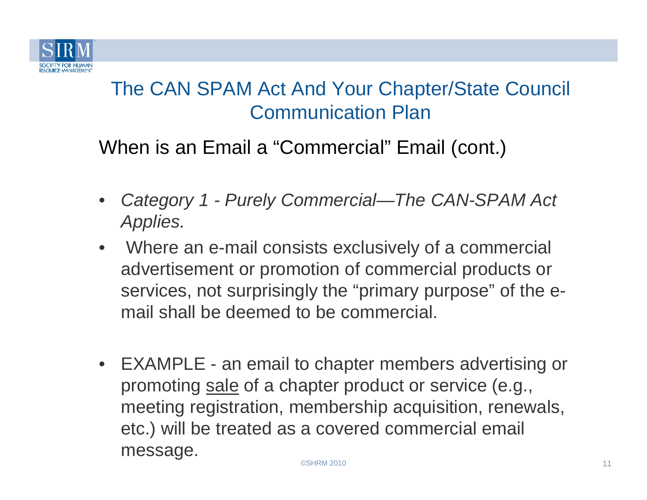

- • Category 1 - Purely Commercial—The CAN-SPAM Act Applies.
- $\bullet$  Where an e-mail consists exclusively of a commercial advertisement or promotion of commercial products or services, not surprisingly the "primary purpose" of the email shall be deemed to be commercial.
- EXAMPLE an email to chapter members advertising or promoting sale of a chapter product or service (e.g., meeting registration, membership acquisition, renewals, etc.) will be treated as a covered commercial emailmessage.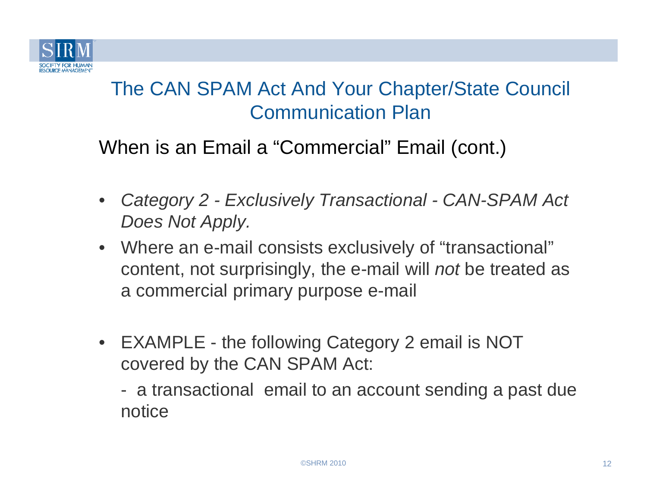

- • Category 2 - Exclusively Transactional - CAN-SPAM Act Does Not Apply.
- Where an e-mail consists exclusively of "transactional" content, not surprisingly, the e-mail will *not* be treated as a commercial primary purpose e-mail
- EXAMPLE the following Category 2 email is NOT covered by the CAN SPAM Act:
	- $\mathcal{L}_{\mathcal{A}}$  a transactional email to an account sending a past due notice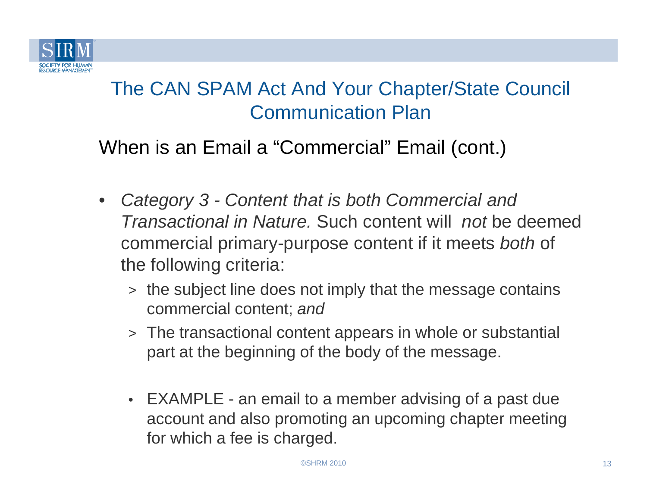

- $\bullet$  Category 3 - Content that is both Commercial and Transactional in Nature. Such content will not be deemed commercial primary-purpose content if it meets *both* of the following criteria:
	- > the subject line does not imply that the message contains commercial content; and
	- > The transactional content appears in whole or substantial part at the beginning of the body of the message.
	- EXAMPLE an email to a member advising of a past due account and also promoting an upcoming chapter meeting for which a fee is charged.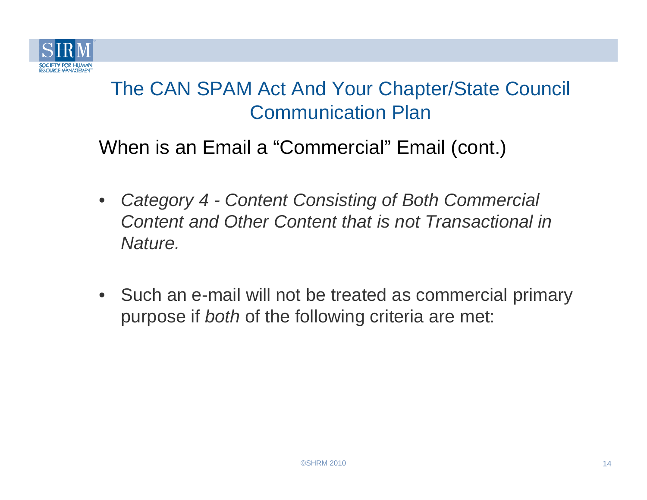

- $\bullet$  Category 4 - Content Consisting of Both Commercial Content and Other Content that is not Transactional in Nature.
- Such an e-mail will not be treated as commercial primary purpose if both of the following criteria are met: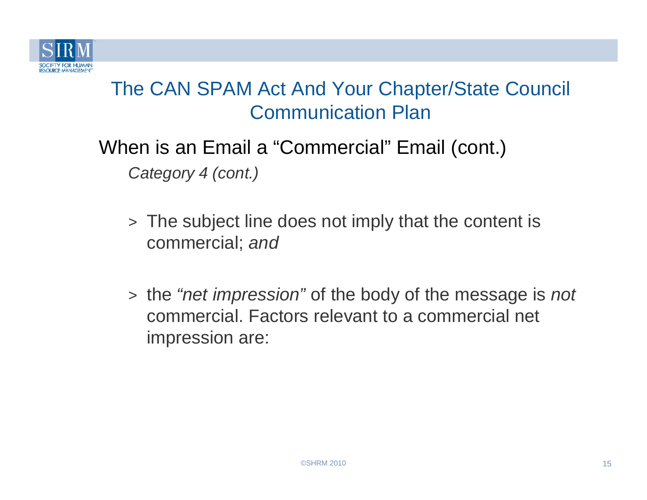

When is an Email a "Commercial" Email (cont.)Category 4 (cont.)

- > The subject line does not imply that the content iscommercial; and
- > the "net impression" of the body of the message is not commercial. Factors relevant to a commercial net impression are: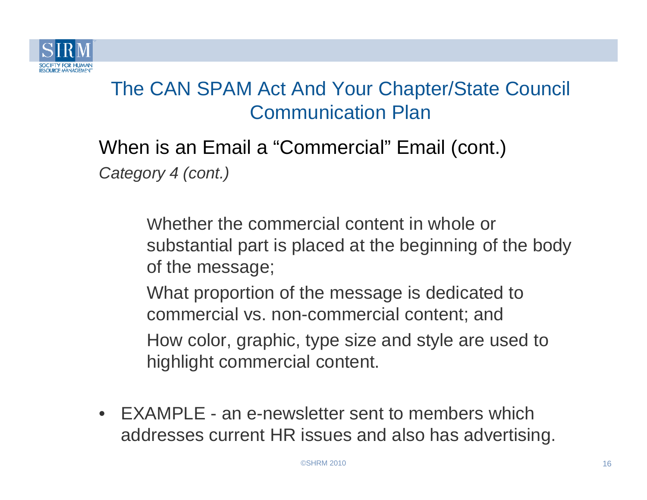

When is an Email a "Commercial" Email (cont.)Category 4 (cont.)

> Whether the commercial content in whole or substantial part is placed at the beginning of the body of the message;

What proportion of the message is dedicated to commercial vs. non-commercial content; and How color, graphic, type size and style are used tohighlight commercial content.

• EXAMPLE - an e-newsletter sent to members which addresses current HR issues and also has advertising.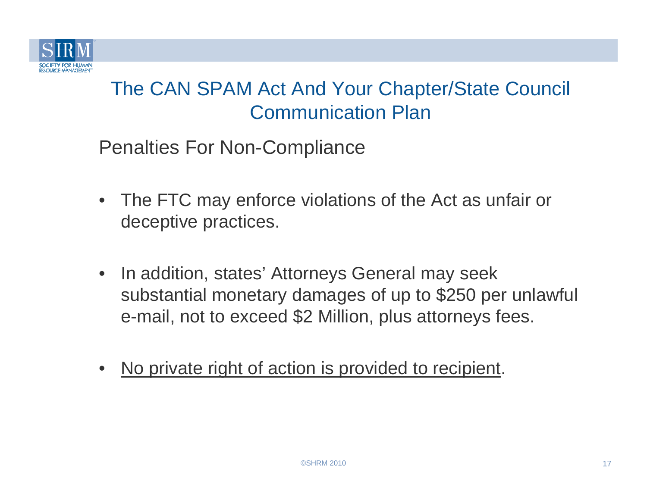

Penalties For Non-Compliance

- $\bullet$  The FTC may enforce violations of the Act as unfair or deceptive practices.
- $\bullet$  In addition, states' Attorneys General may seek substantial monetary damages of up to \$250 per unlawful e-mail, not to exceed \$2 Million, plus attorneys fees.
- •No private right of action is provided to recipient.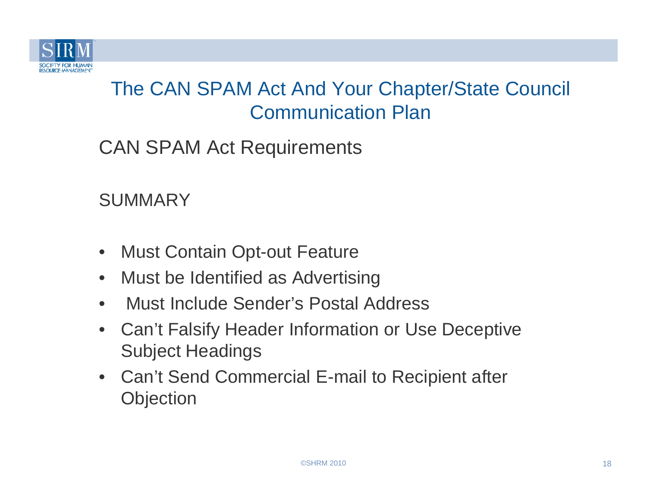

CAN SPAM Act Requirements

**SUMMARY** 

- $\bullet$ • Must Contain Opt-out Feature
- $\bullet$ Must be Identified as Advertising
- $\bullet$ Must Include Sender's Postal Address
- $\bullet$  Can't Falsify Header Information or Use Deceptive Subject Headings
- Can't Send Commercial E-mail to Recipient after **Objection**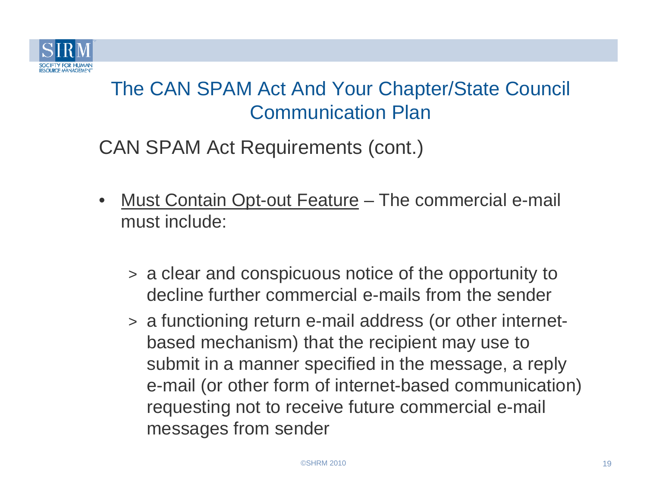

CAN SPAM Act Requirements (cont.)

- $\bullet$ Must Contain Opt-out Feature – The commercial e-mail must include:
	- > a clear and conspicuous notice of the opportunity to decline further commercial e-mails from the sender
	- > a functioning return e-mail address (or other internetbased mechanism) that the recipient may use to submit in a manner specified in the message, a reply e-mail (or other form of internet-based communication) requesting not to receive future commercial e-mail messages from sender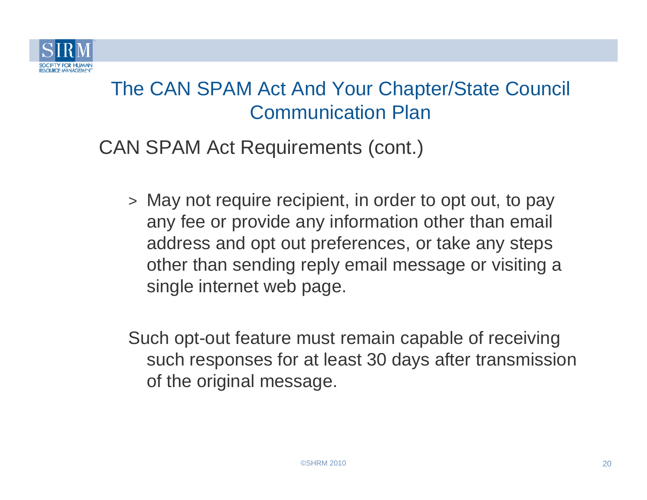

CAN SPAM Act Requirements (cont.)

> May not require recipient, in order to opt out, to pay any fee or provide any information other than emailaddress and opt out preferences, or take any steps other than sending reply email message or visiting a single internet web page.

Such opt-out feature must remain capable of receiving such responses for at least 30 days after transmission of the original message.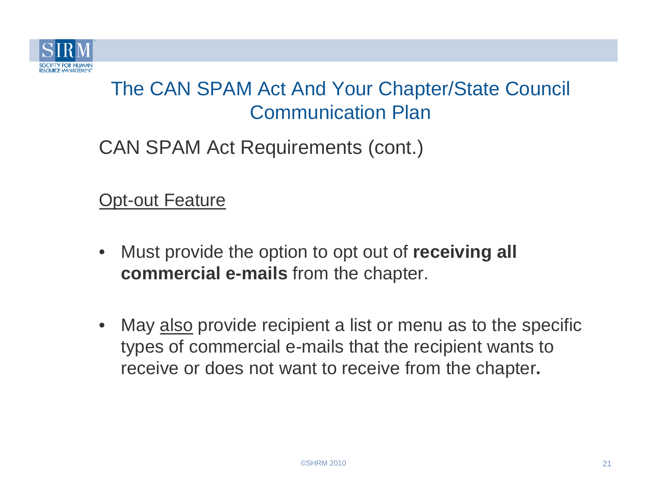

CAN SPAM Act Requirements (cont.)

**Opt-out Feature** 

- $\bullet$  Must provide the option to opt out of **receiving all commercial e-mails** from the chapter.
- $\bullet$ May also provide recipient a list or menu as to the specific types of commercial e-mails that the recipient wants to receive or does not want to receive from the chapter**.**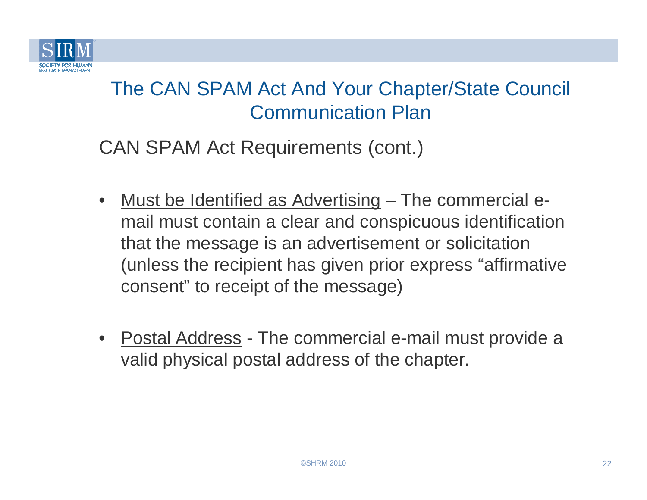

CAN SPAM Act Requirements (cont.)

- $\bullet$ Must be Identified as Advertising – The commercial email must contain a clear and conspicuous identification that the message is an advertisement or solicitation (unless the recipient has given prior express "affirmative consent" to receipt of the message)
- $\bullet$ Postal Address - The commercial e-mail must provide a valid physical postal address of the chapter.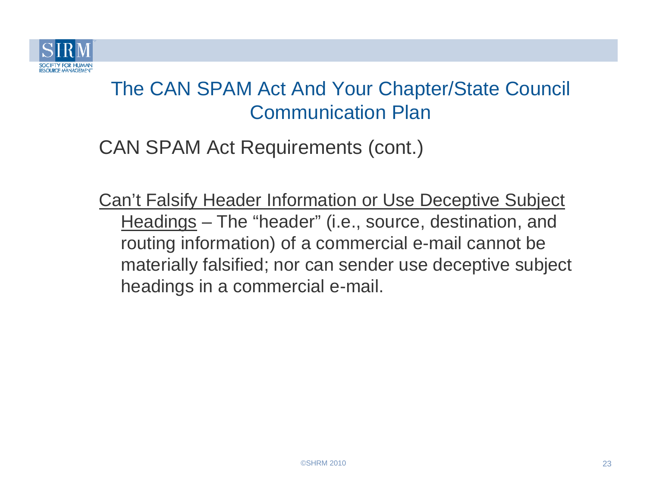

CAN SPAM Act Requirements (cont.)

Can't Falsify Header Information or Use Deceptive Subject Headings – The "header" (i.e., source, destination, and routing information) of a commercial e-mail cannot be materially falsified; nor can sender use deceptive subject headings in a commercial e-mail.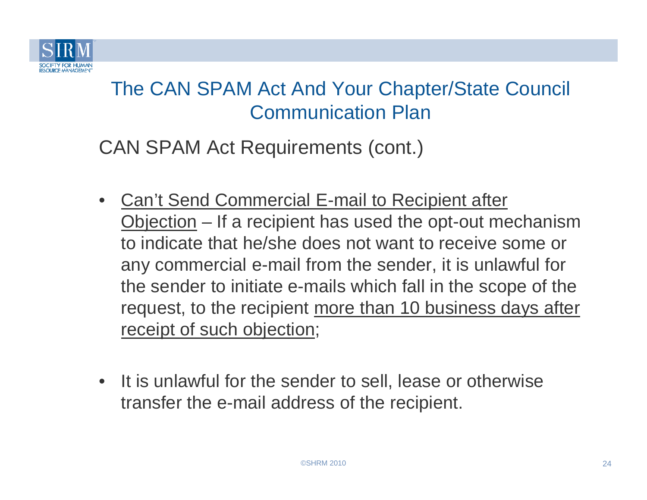

CAN SPAM Act Requirements (cont.)

- • Can't Send Commercial E-mail to Recipient after Objection – If a recipient has used the opt-out mechanism to indicate that he/she does not want to receive some or any commercial e-mail from the sender, it is unlawful for the sender to initiate e-mails which fall in the scope of the request, to the recipient more than 10 business days after receipt of such objection;
- It is unlawful for the sender to sell, lease or otherwise transfer the e-mail address of the recipient.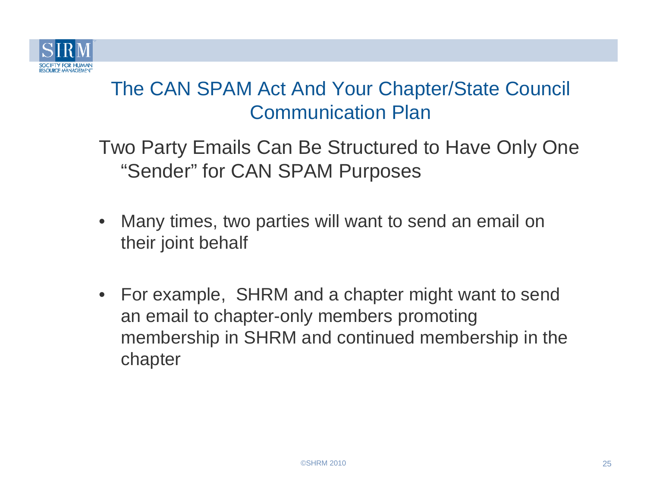

- • Many times, two parties will want to send an email on their joint behalf
- For example, SHRM and a chapter might want to send an email to chapter-only members promoting membership in SHRM and continued membership in the chapter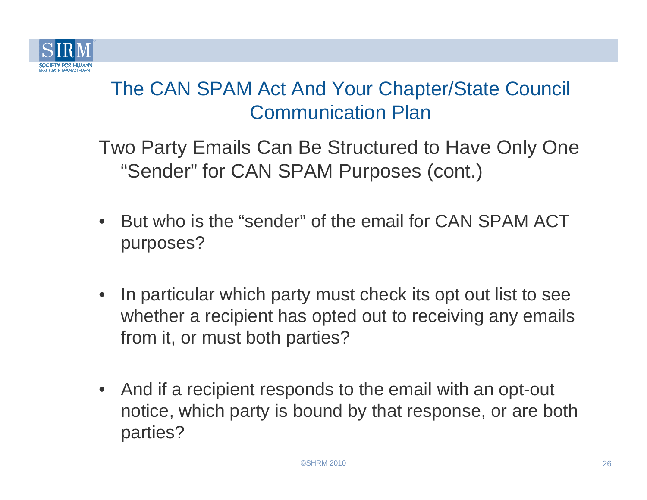

- $\bullet$  But who is the "sender" of the email for CAN SPAM ACT purposes?
- • In particular which party must check its opt out list to see whether a recipient has opted out to receiving any emails from it, or must both parties?
- • And if a recipient responds to the email with an opt-out notice, which party is bound by that response, or are both parties?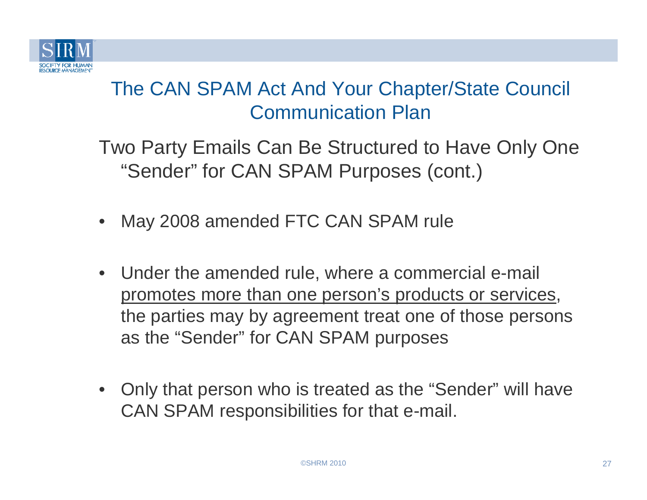

- •May 2008 amended FTC CAN SPAM rule
- $\bullet$  Under the amended rule, where a commercial e-mail promotes more than one person's products or services, the parties may by agreement treat one of those persons as the "Sender" for CAN SPAM purposes
- • Only that person who is treated as the "Sender" will have CAN SPAM responsibilities for that e-mail.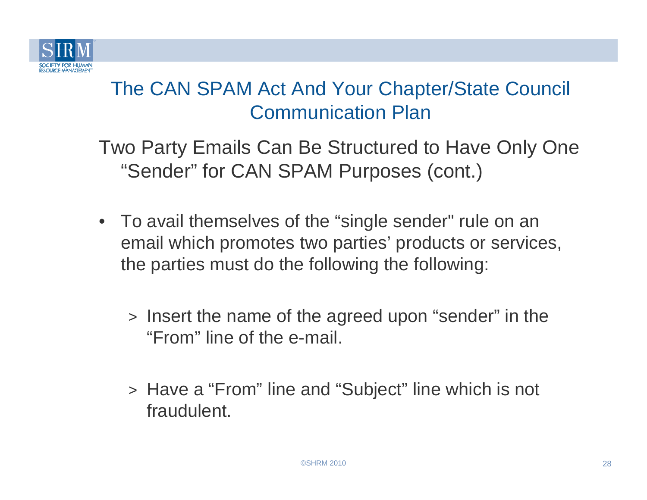

- To avail themselves of the "single sender" rule on an email which promotes two parties' products or services, the parties must do the following the following:
	- > Insert the name of the agreed upon "sender" in the "From" line of the e-mail.
	- > Have a "From" line and "Subject" line which is not fraudulent.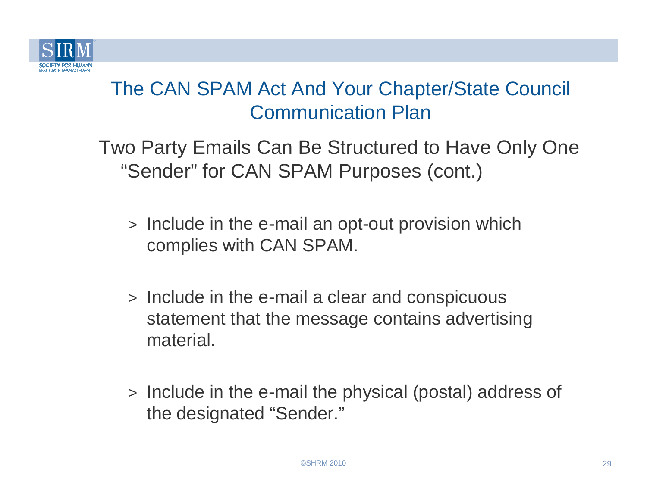

- > Include in the e-mail an opt-out provision which complies with CAN SPAM.
- > Include in the e-mail a clear and conspicuous statement that the message contains advertising material.
- > Include in the e-mail the physical (postal) address of the designated "Sender."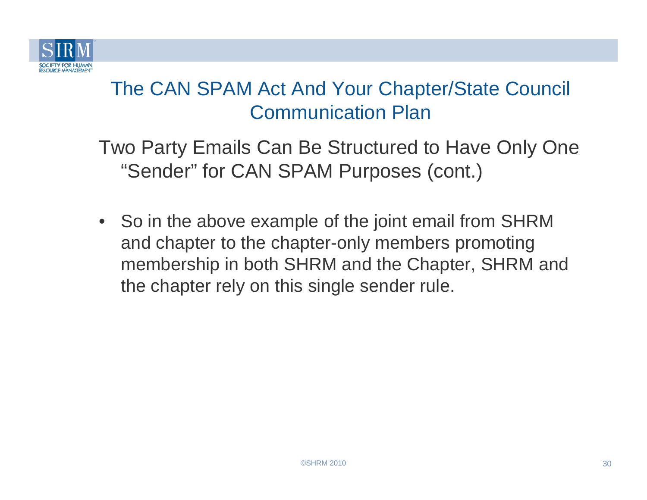

Two Party Emails Can Be Structured to Have Only One "Sender" for CAN SPAM Purposes (cont.)

• So in the above example of the joint email from SHRM and chapter to the chapter-only members promoting membership in both SHRM and the Chapter, SHRM and the chapter rely on this single sender rule.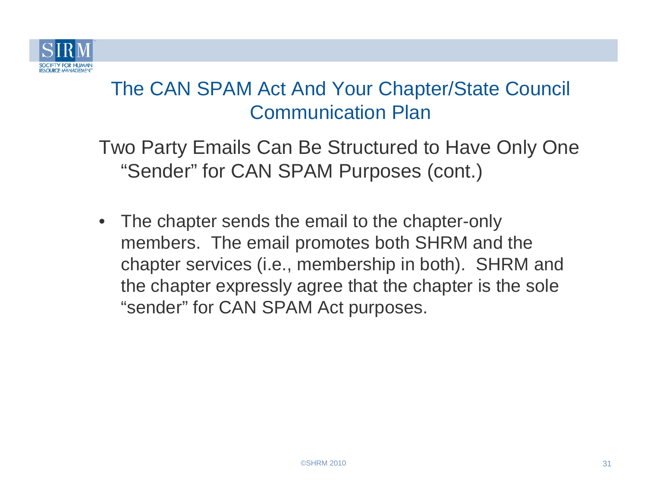

Two Party Emails Can Be Structured to Have Only One "Sender" for CAN SPAM Purposes (cont.)

• The chapter sends the email to the chapter-only members. The email promotes both SHRM and the chapter services (i.e., membership in both). SHRM and the chapter expressly agree that the chapter is the sole "sender" for CAN SPAM Act purposes.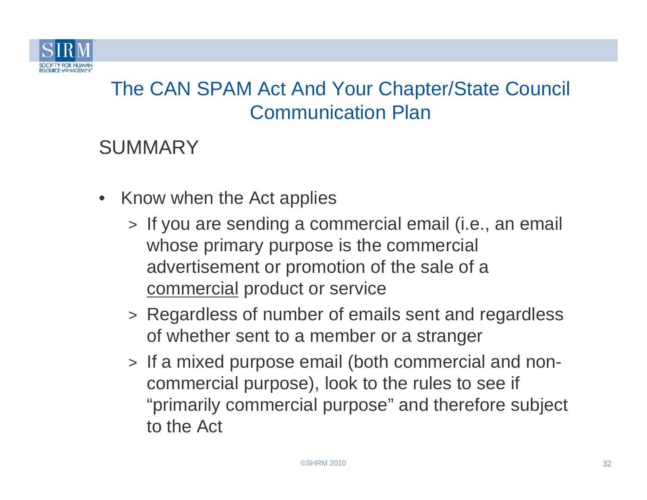

#### **SUMMARY**

- Know when the Act applies
	- > If you are sending a commercial email (i.e., an email whose primary purpose is the commercial advertisement or promotion of the sale of a commercial product or service
	- > Regardless of number of emails sent and regardless of whether sent to a member or a stranger
	- > If a mixed purpose email (both commercial and noncommercial purpose), look to the rules to see if "primarily commercial purpose" and therefore subject to the Act